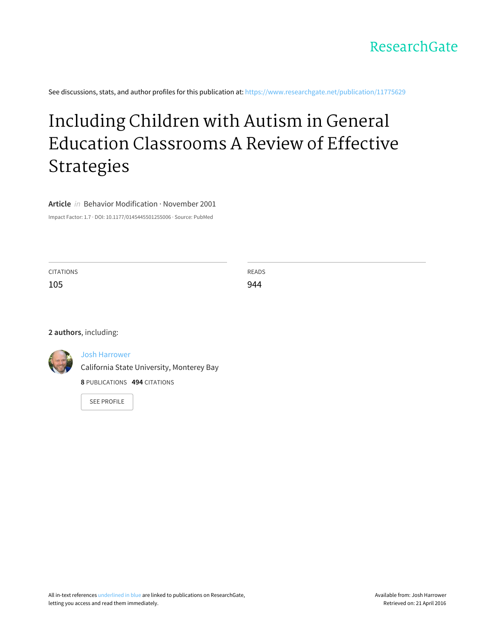

See discussions, stats, and author profiles for this publication at: [https://www.researchgate.net/publication/11775629](https://www.researchgate.net/publication/11775629_Including_Children_with_Autism_in_General_Education_Classrooms_A_Review_of_Effective_Strategies?enrichId=rgreq-cddcec98-7bf7-458f-8d2f-6484c3769bb3&enrichSource=Y292ZXJQYWdlOzExNzc1NjI5O0FTOjEwMzE4MzkxMzMyNDU1M0AxNDAxNjEyMzcwNDY1&el=1_x_2)

# Including Children with Autism in General Education [Classrooms](https://www.researchgate.net/publication/11775629_Including_Children_with_Autism_in_General_Education_Classrooms_A_Review_of_Effective_Strategies?enrichId=rgreq-cddcec98-7bf7-458f-8d2f-6484c3769bb3&enrichSource=Y292ZXJQYWdlOzExNzc1NjI5O0FTOjEwMzE4MzkxMzMyNDU1M0AxNDAxNjEyMzcwNDY1&el=1_x_3) A Review of Effective Strategies

**Article** in Behavior Modification · November 2001

Impact Factor: 1.7 · DOI: 10.1177/0145445501255006 · Source: PubMed

CITATIONS

105

READS 944

#### **2 authors**, including:



# Josh [Harrower](https://www.researchgate.net/profile/Josh_Harrower?enrichId=rgreq-cddcec98-7bf7-458f-8d2f-6484c3769bb3&enrichSource=Y292ZXJQYWdlOzExNzc1NjI5O0FTOjEwMzE4MzkxMzMyNDU1M0AxNDAxNjEyMzcwNDY1&el=1_x_5)

California State [University,](https://www.researchgate.net/institution/California_State_University_Monterey_Bay?enrichId=rgreq-cddcec98-7bf7-458f-8d2f-6484c3769bb3&enrichSource=Y292ZXJQYWdlOzExNzc1NjI5O0FTOjEwMzE4MzkxMzMyNDU1M0AxNDAxNjEyMzcwNDY1&el=1_x_6) Monterey Bay

**8** PUBLICATIONS **494** CITATIONS

SEE [PROFILE](https://www.researchgate.net/profile/Josh_Harrower?enrichId=rgreq-cddcec98-7bf7-458f-8d2f-6484c3769bb3&enrichSource=Y292ZXJQYWdlOzExNzc1NjI5O0FTOjEwMzE4MzkxMzMyNDU1M0AxNDAxNjEyMzcwNDY1&el=1_x_7)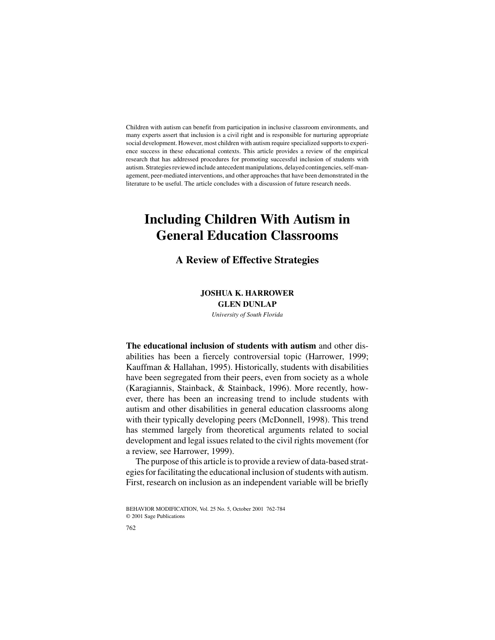Children with autism can benefit from participation in inclusive classroom environments, and many experts assert that inclusion is a civil right and is responsible for nurturing appropriate social development. However, most children with autism require specialized supports to experience success in these educational contexts. This article provides a review of the empirical research that has addressed procedures for promoting successful inclusion of students with autism. Strategies reviewed include antecedent manipulations, delayed contingencies, self-management, peer-mediated interventions, and other approaches that have been demonstrated in the literature to be useful. The article concludes with a discussion of future research needs.

# **Including Children With Autism in General Education Classrooms**

# **A Review of Effective Strategies**

# **JOSHUA K. HARROWER GLEN DUNLAP**

*University of South Florida*

**The educational inclusion of students with autism** and other disabilities has been a fiercely controversial topic (Harrower, 1999; Kauffman & Hallahan, 1995). Historically, students with disabilities have been segregated from their peers, even from society as a whole (Karagiannis, Stainback, & Stainback, 1996). More recently, however, there has been an increasing trend to include students with autism and other disabilities in general education classrooms along with their typically developing peers (McDonnell, 1998). This trend has stemmed largely from theoretical arguments related to social development and legal issues related to the civil rights movement (for a review, see Harrower, 1999).

The purpose of this article is to provide a review of data-based strategies for facilitating the educational inclusion of students with autism. First, research on inclusion as an independent variable will be briefly

BEHAVIOR MODIFICATION, Vol. 25 No. 5, October 2001 762-784 © 2001 Sage Publications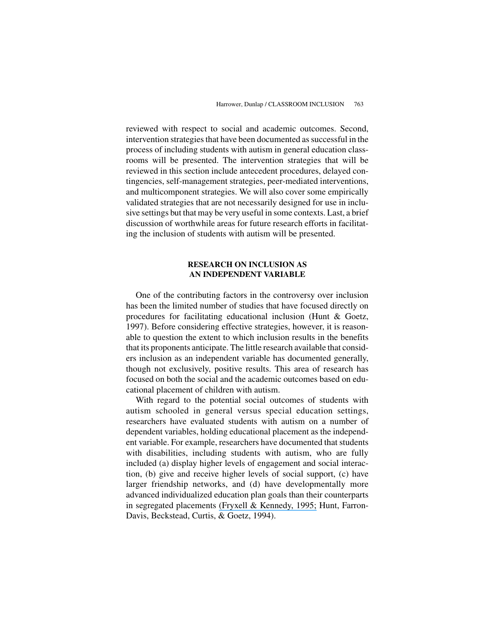reviewed with respect to social and academic outcomes. Second, intervention strategies that have been documented as successful in the process of including students with autism in general education classrooms will be presented. The intervention strategies that will be reviewed in this section include antecedent procedures, delayed contingencies, self-management strategies, peer-mediated interventions, and multicomponent strategies. We will also cover some empirically validated strategies that are not necessarily designed for use in inclusive settings but that may be very useful in some contexts. Last, a brief discussion of worthwhile areas for future research efforts in facilitating the inclusion of students with autism will be presented.

# **RESEARCH ON INCLUSION AS AN INDEPENDENT VARIABLE**

One of the contributing factors in the controversy over inclusion has been the limited number of studies that have focused directly on procedures for facilitating educational inclusion (Hunt & Goetz, 1997). Before considering effective strategies, however, it is reasonable to question the extent to which inclusion results in the benefits that its proponents anticipate. The little research available that considers inclusion as an independent variable has documented generally, though not exclusively, positive results. This area of research has focused on both the social and the academic outcomes based on educational placement of children with autism.

With regard to the potential social outcomes of students with autism schooled in general versus special education settings, researchers have evaluated students with autism on a number of dependent variables, holding educational placement as the independent variable. For example, researchers have documented that students with disabilities, including students with autism, who are fully included (a) display higher levels of engagement and social interaction, (b) give and receive higher levels of social support, (c) have larger friendship networks, and (d) have developmentally more advanced individualized education plan goals than their counterparts in segregated placements [\(Fryxell & Kennedy, 1995;](https://www.researchgate.net/publication/234725375_Placement_along_the_Continuum_of_Services_and_Its_Impact_on_Students) Hunt, Farron-Davis, Beckstead, Curtis, & Goetz, 1994).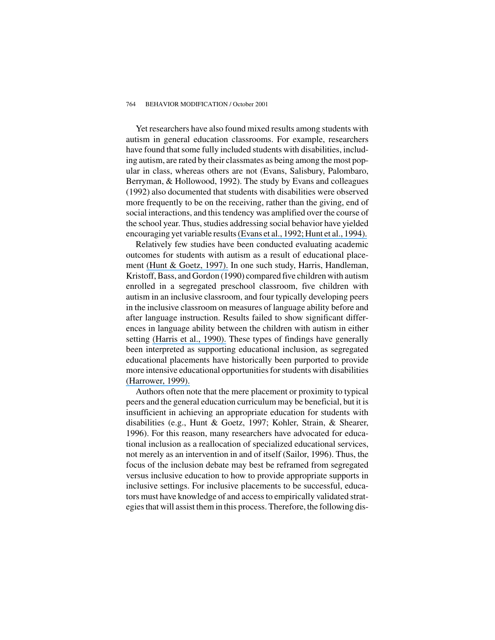Yet researchers have also found mixed results among students with autism in general education classrooms. For example, researchers have found that some fully included students with disabilities, including autism, are rated by their classmates as being among the most popular in class, whereas others are not (Evans, Salisbury, Palombaro, Berryman, & Hollowood, 1992). The study by Evans and colleagues (1992) also documented that students with disabilities were observed more frequently to be on the receiving, rather than the giving, end of social interactions, and this tendency was amplified over the course of the school year. Thus, studies addressing social behavior have yielded encouraging yet variable results [\(Evans et al., 1992; Hunt et al., 1994\).](https://www.researchgate.net/publication/232543557_Evaluating_the_Effects_of_Placement_of_Students_with_Severe_Disabilities_in_General_Education_versus_Special_Classes?el=1_x_8&enrichId=rgreq-cddcec98-7bf7-458f-8d2f-6484c3769bb3&enrichSource=Y292ZXJQYWdlOzExNzc1NjI5O0FTOjEwMzE4MzkxMzMyNDU1M0AxNDAxNjEyMzcwNDY1)

Relatively few studies have been conducted evaluating academic outcomes for students with autism as a result of educational placement [\(Hunt & Goetz, 1997\).](https://www.researchgate.net/publication/234591507_Promoting_Interactive_Partnerships_in_Inclusive_Educational_Settings?el=1_x_8&enrichId=rgreq-cddcec98-7bf7-458f-8d2f-6484c3769bb3&enrichSource=Y292ZXJQYWdlOzExNzc1NjI5O0FTOjEwMzE4MzkxMzMyNDU1M0AxNDAxNjEyMzcwNDY1) In one such study, Harris, Handleman, Kristoff, Bass, and Gordon (1990) compared five children with autism enrolled in a segregated preschool classroom, five children with autism in an inclusive classroom, and four typically developing peers in the inclusive classroom on measures of language ability before and after language instruction. Results failed to show significant differences in language ability between the children with autism in either setting [\(Harris et al., 1990\).](https://www.researchgate.net/publication/20832140_Changes_in_language_development_among_autistic_and_peer_children_in_segregated_and_integrated_preschool_settings_Journal_of_Autism_and_Developmental_Disorders_20_23-31?el=1_x_8&enrichId=rgreq-cddcec98-7bf7-458f-8d2f-6484c3769bb3&enrichSource=Y292ZXJQYWdlOzExNzc1NjI5O0FTOjEwMzE4MzkxMzMyNDU1M0AxNDAxNjEyMzcwNDY1) These types of findings have generally been interpreted as supporting educational inclusion, as segregated educational placements have historically been purported to provide more intensive educational opportunities for students with disabilities [\(Harrower, 1999\).](https://www.researchgate.net/publication/240286629_Using_Self-Management_Strategies_to_increase_the_On-Task_Behavior_of_a_Student_with_Autism?el=1_x_8&enrichId=rgreq-cddcec98-7bf7-458f-8d2f-6484c3769bb3&enrichSource=Y292ZXJQYWdlOzExNzc1NjI5O0FTOjEwMzE4MzkxMzMyNDU1M0AxNDAxNjEyMzcwNDY1)

Authors often note that the mere placement or proximity to typical peers and the general education curriculum may be beneficial, but it is insufficient in achieving an appropriate education for students with disabilities (e.g., Hunt & Goetz, 1997; Kohler, Strain, & Shearer, 1996). For this reason, many researchers have advocated for educational inclusion as a reallocation of specialized educational services, not merely as an intervention in and of itself (Sailor, 1996). Thus, the focus of the inclusion debate may best be reframed from segregated versus inclusive education to how to provide appropriate supports in inclusive settings. For inclusive placements to be successful, educators must have knowledge of and access to empirically validated strategies that will assist them in this process. Therefore, the following dis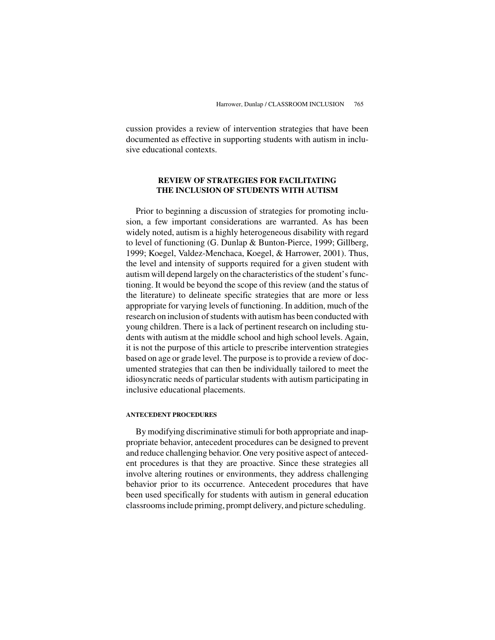cussion provides a review of intervention strategies that have been documented as effective in supporting students with autism in inclusive educational contexts.

# **REVIEW OF STRATEGIES FOR FACILITATING THE INCLUSION OF STUDENTS WITH AUTISM**

Prior to beginning a discussion of strategies for promoting inclusion, a few important considerations are warranted. As has been widely noted, autism is a highly heterogeneous disability with regard to level of functioning (G. Dunlap & Bunton-Pierce, 1999; Gillberg, 1999; Koegel, Valdez-Menchaca, Koegel, & Harrower, 2001). Thus, the level and intensity of supports required for a given student with autism will depend largely on the characteristics of the student's functioning. It would be beyond the scope of this review (and the status of the literature) to delineate specific strategies that are more or less appropriate for varying levels of functioning. In addition, much of the research on inclusion of students with autism has been conducted with young children. There is a lack of pertinent research on including students with autism at the middle school and high school levels. Again, it is not the purpose of this article to prescribe intervention strategies based on age or grade level. The purpose is to provide a review of documented strategies that can then be individually tailored to meet the idiosyncratic needs of particular students with autism participating in inclusive educational placements.

# **ANTECEDENT PROCEDURES**

By modifying discriminative stimuli for both appropriate and inappropriate behavior, antecedent procedures can be designed to prevent and reduce challenging behavior. One very positive aspect of antecedent procedures is that they are proactive. Since these strategies all involve altering routines or environments, they address challenging behavior prior to its occurrence. Antecedent procedures that have been used specifically for students with autism in general education classrooms include priming, prompt delivery, and picture scheduling.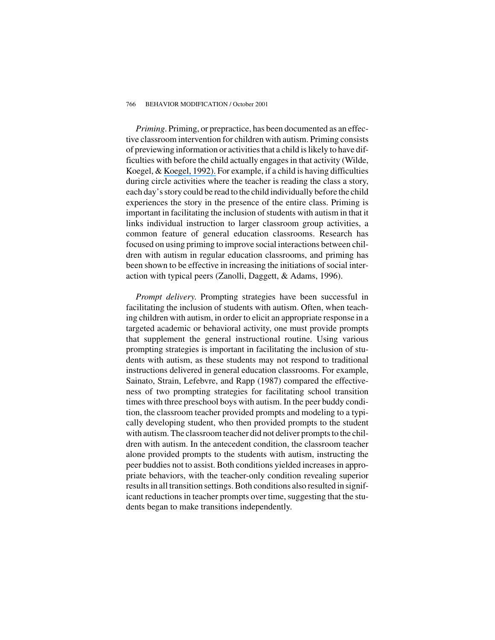*Priming*. Priming, or prepractice, has been documented as an effective classroom intervention for children with autism. Priming consists of previewing information or activities that a child is likely to have difficulties with before the child actually engages in that activity (Wilde, Koegel, & [Koegel, 1992\).](https://www.researchgate.net/publication/21522160_Improving_social_skills_and_disruptive_behavior_in_children_with_autism_through_self-management_Journal_of_Applied_Behavior_Analysis_25_341-353?el=1_x_8&enrichId=rgreq-cddcec98-7bf7-458f-8d2f-6484c3769bb3&enrichSource=Y292ZXJQYWdlOzExNzc1NjI5O0FTOjEwMzE4MzkxMzMyNDU1M0AxNDAxNjEyMzcwNDY1) For example, if a child is having difficulties during circle activities where the teacher is reading the class a story, each day's story could be read to the child individually before the child experiences the story in the presence of the entire class. Priming is important in facilitating the inclusion of students with autism in that it links individual instruction to larger classroom group activities, a common feature of general education classrooms. Research has focused on using priming to improve social interactions between children with autism in regular education classrooms, and priming has been shown to be effective in increasing the initiations of social interaction with typical peers (Zanolli, Daggett, & Adams, 1996).

*Prompt delivery*. Prompting strategies have been successful in facilitating the inclusion of students with autism. Often, when teaching children with autism, in order to elicit an appropriate response in a targeted academic or behavioral activity, one must provide prompts that supplement the general instructional routine. Using various prompting strategies is important in facilitating the inclusion of students with autism, as these students may not respond to traditional instructions delivered in general education classrooms. For example, Sainato, Strain, Lefebvre, and Rapp (1987) compared the effectiveness of two prompting strategies for facilitating school transition times with three preschool boys with autism. In the peer buddy condition, the classroom teacher provided prompts and modeling to a typically developing student, who then provided prompts to the student with autism. The classroom teacher did not deliver prompts to the children with autism. In the antecedent condition, the classroom teacher alone provided prompts to the students with autism, instructing the peer buddies not to assist. Both conditions yielded increases in appropriate behaviors, with the teacher-only condition revealing superior results in all transition settings. Both conditions also resulted in significant reductions in teacher prompts over time, suggesting that the students began to make transitions independently.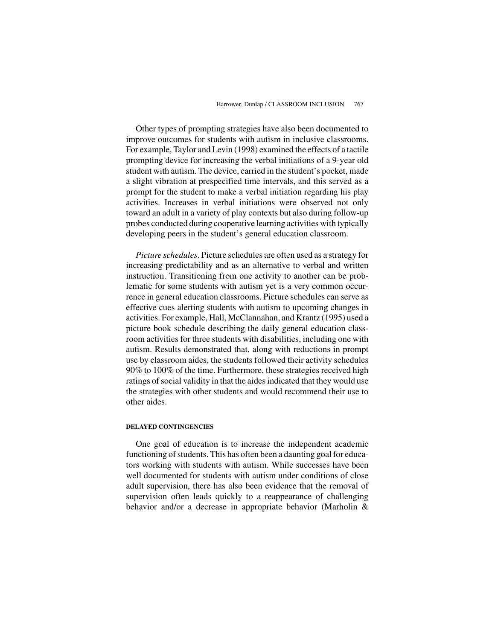Other types of prompting strategies have also been documented to improve outcomes for students with autism in inclusive classrooms. For example, Taylor and Levin (1998) examined the effects of a tactile prompting device for increasing the verbal initiations of a 9-year old student with autism. The device, carried in the student's pocket, made a slight vibration at prespecified time intervals, and this served as a prompt for the student to make a verbal initiation regarding his play activities. Increases in verbal initiations were observed not only toward an adult in a variety of play contexts but also during follow-up probes conducted during cooperative learning activities with typically developing peers in the student's general education classroom.

*Picture schedules*. Picture schedules are often used as a strategy for increasing predictability and as an alternative to verbal and written instruction. Transitioning from one activity to another can be problematic for some students with autism yet is a very common occurrence in general education classrooms. Picture schedules can serve as effective cues alerting students with autism to upcoming changes in activities. For example, Hall, McClannahan, and Krantz (1995) used a picture book schedule describing the daily general education classroom activities for three students with disabilities, including one with autism. Results demonstrated that, along with reductions in prompt use by classroom aides, the students followed their activity schedules 90% to 100% of the time. Furthermore, these strategies received high ratings of social validity in that the aides indicated that they would use the strategies with other students and would recommend their use to other aides.

#### **DELAYED CONTINGENCIES**

One goal of education is to increase the independent academic functioning of students. This has often been a daunting goal for educators working with students with autism. While successes have been well documented for students with autism under conditions of close adult supervision, there has also been evidence that the removal of supervision often leads quickly to a reappearance of challenging behavior and/or a decrease in appropriate behavior (Marholin &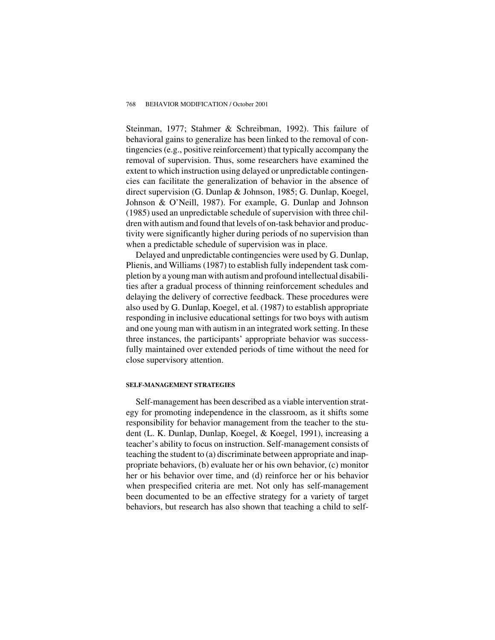Steinman, 1977; Stahmer & Schreibman, 1992). This failure of behavioral gains to generalize has been linked to the removal of contingencies (e.g., positive reinforcement) that typically accompany the removal of supervision. Thus, some researchers have examined the extent to which instruction using delayed or unpredictable contingencies can facilitate the generalization of behavior in the absence of direct supervision (G. Dunlap & Johnson, 1985; G. Dunlap, Koegel, Johnson & O'Neill, 1987). For example, G. Dunlap and Johnson (1985) used an unpredictable schedule of supervision with three children with autism and found that levels of on-task behavior and productivity were significantly higher during periods of no supervision than when a predictable schedule of supervision was in place.

Delayed and unpredictable contingencies were used by G. Dunlap, Plienis, and Williams (1987) to establish fully independent task completion by a young man with autism and profound intellectual disabilities after a gradual process of thinning reinforcement schedules and delaying the delivery of corrective feedback. These procedures were also used by G. Dunlap, Koegel, et al. (1987) to establish appropriate responding in inclusive educational settings for two boys with autism and one young man with autism in an integrated work setting. In these three instances, the participants' appropriate behavior was successfully maintained over extended periods of time without the need for close supervisory attention.

#### **SELF-MANAGEMENT STRATEGIES**

Self-management has been described as a viable intervention strategy for promoting independence in the classroom, as it shifts some responsibility for behavior management from the teacher to the student (L. K. Dunlap, Dunlap, Koegel, & Koegel, 1991), increasing a teacher's ability to focus on instruction. Self-management consists of teaching the student to (a) discriminate between appropriate and inappropriate behaviors, (b) evaluate her or his own behavior, (c) monitor her or his behavior over time, and (d) reinforce her or his behavior when prespecified criteria are met. Not only has self-management been documented to be an effective strategy for a variety of target behaviors, but research has also shown that teaching a child to self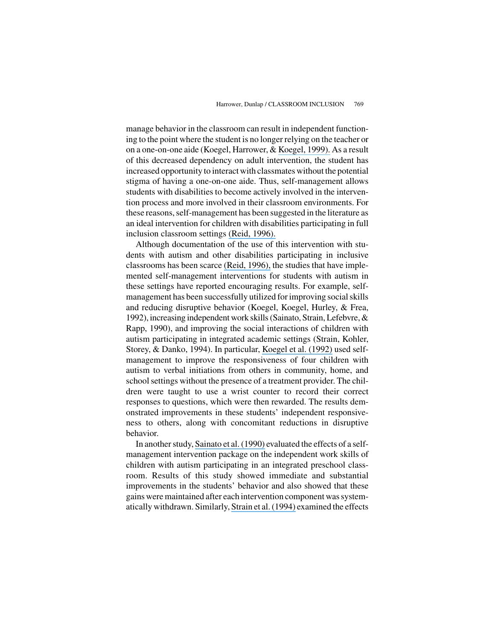manage behavior in the classroom can result in independent functioning to the point where the student is no longer relying on the teacher or on a one-on-one aide (Koegel, Harrower, & [Koegel, 1999\).](https://www.researchgate.net/publication/247784586_Support_for_Children_with_Developmental_Disabilities_in_Full_Inclusion_Classrooms_Through_Self-Management?el=1_x_8&enrichId=rgreq-cddcec98-7bf7-458f-8d2f-6484c3769bb3&enrichSource=Y292ZXJQYWdlOzExNzc1NjI5O0FTOjEwMzE4MzkxMzMyNDU1M0AxNDAxNjEyMzcwNDY1) As a result of this decreased dependency on adult intervention, the student has increased opportunity to interact with classmates without the potential stigma of having a one-on-one aide. Thus, self-management allows students with disabilities to become actively involved in the intervention process and more involved in their classroom environments. For these reasons, self-management has been suggested in the literature as an ideal intervention for children with disabilities participating in full inclusion classroom settings [\(Reid, 1996\).](https://www.researchgate.net/publication/14469406_Research_in_Self-Monitoring_with_Students_with_Learning_Disabilities_The_Present_the_Prospects_the_Pitfalls?el=1_x_8&enrichId=rgreq-cddcec98-7bf7-458f-8d2f-6484c3769bb3&enrichSource=Y292ZXJQYWdlOzExNzc1NjI5O0FTOjEwMzE4MzkxMzMyNDU1M0AxNDAxNjEyMzcwNDY1)

Although documentation of the use of this intervention with students with autism and other disabilities participating in inclusive classrooms has been scarce [\(Reid, 1996\),](https://www.researchgate.net/publication/14469406_Research_in_Self-Monitoring_with_Students_with_Learning_Disabilities_The_Present_the_Prospects_the_Pitfalls?el=1_x_8&enrichId=rgreq-cddcec98-7bf7-458f-8d2f-6484c3769bb3&enrichSource=Y292ZXJQYWdlOzExNzc1NjI5O0FTOjEwMzE4MzkxMzMyNDU1M0AxNDAxNjEyMzcwNDY1) the studies that have implemented self-management interventions for students with autism in these settings have reported encouraging results. For example, selfmanagement has been successfully utilized for improving social skills and reducing disruptive behavior (Koegel, Koegel, Hurley, & Frea, 1992), increasing independent work skills (Sainato, Strain, Lefebvre, & Rapp, 1990), and improving the social interactions of children with autism participating in integrated academic settings (Strain, Kohler, Storey, & Danko, 1994). In particular, [Koegel et al. \(1992\)](https://www.researchgate.net/publication/21522160_Improving_social_skills_and_disruptive_behavior_in_children_with_autism_through_self-management_Journal_of_Applied_Behavior_Analysis_25_341-353?el=1_x_8&enrichId=rgreq-cddcec98-7bf7-458f-8d2f-6484c3769bb3&enrichSource=Y292ZXJQYWdlOzExNzc1NjI5O0FTOjEwMzE4MzkxMzMyNDU1M0AxNDAxNjEyMzcwNDY1) used selfmanagement to improve the responsiveness of four children with autism to verbal initiations from others in community, home, and school settings without the presence of a treatment provider. The children were taught to use a wrist counter to record their correct responses to questions, which were then rewarded. The results demonstrated improvements in these students' independent responsiveness to others, along with concomitant reductions in disruptive behavior.

In another study, [Sainato et al. \(1990\)](https://www.researchgate.net/publication/20824111_Effects_of_self-evaluation_on_the_independent_work_skills_of_preschool_children_with_disabilities_Exceptional_Children_56_540-549?el=1_x_8&enrichId=rgreq-cddcec98-7bf7-458f-8d2f-6484c3769bb3&enrichSource=Y292ZXJQYWdlOzExNzc1NjI5O0FTOjEwMzE4MzkxMzMyNDU1M0AxNDAxNjEyMzcwNDY1) evaluated the effects of a selfmanagement intervention package on the independent work skills of children with autism participating in an integrated preschool classroom. Results of this study showed immediate and substantial improvements in the students' behavior and also showed that these gains were maintained after each intervention component was systematically withdrawn. Similarly, [Strain et al. \(1994\)](https://www.researchgate.net/publication/240286706_Teaching_Preschoolers_with_Autism_to_Self-Monitor_Their_Social_Interactions_An_Analysis_of_Results_in_Home_and_School_Settings?el=1_x_8&enrichId=rgreq-cddcec98-7bf7-458f-8d2f-6484c3769bb3&enrichSource=Y292ZXJQYWdlOzExNzc1NjI5O0FTOjEwMzE4MzkxMzMyNDU1M0AxNDAxNjEyMzcwNDY1) examined the effects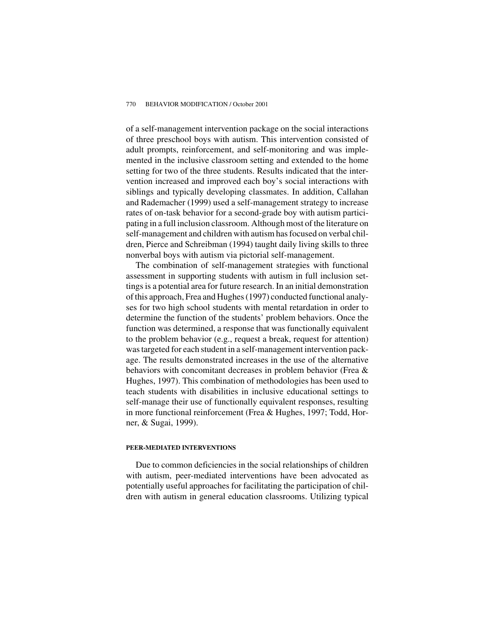of a self-management intervention package on the social interactions of three preschool boys with autism. This intervention consisted of adult prompts, reinforcement, and self-monitoring and was implemented in the inclusive classroom setting and extended to the home setting for two of the three students. Results indicated that the intervention increased and improved each boy's social interactions with siblings and typically developing classmates. In addition, Callahan and Rademacher (1999) used a self-management strategy to increase rates of on-task behavior for a second-grade boy with autism participating in a full inclusion classroom. Although most of the literature on self-management and children with autism has focused on verbal children, Pierce and Schreibman (1994) taught daily living skills to three nonverbal boys with autism via pictorial self-management.

The combination of self-management strategies with functional assessment in supporting students with autism in full inclusion settings is a potential area for future research. In an initial demonstration of this approach, Frea and Hughes (1997) conducted functional analyses for two high school students with mental retardation in order to determine the function of the students' problem behaviors. Once the function was determined, a response that was functionally equivalent to the problem behavior (e.g., request a break, request for attention) was targeted for each student in a self-management intervention package. The results demonstrated increases in the use of the alternative behaviors with concomitant decreases in problem behavior (Frea & Hughes, 1997). This combination of methodologies has been used to teach students with disabilities in inclusive educational settings to self-manage their use of functionally equivalent responses, resulting in more functional reinforcement (Frea & Hughes, 1997; Todd, Horner, & Sugai, 1999).

#### **PEER-MEDIATED INTERVENTIONS**

Due to common deficiencies in the social relationships of children with autism, peer-mediated interventions have been advocated as potentially useful approaches for facilitating the participation of children with autism in general education classrooms. Utilizing typical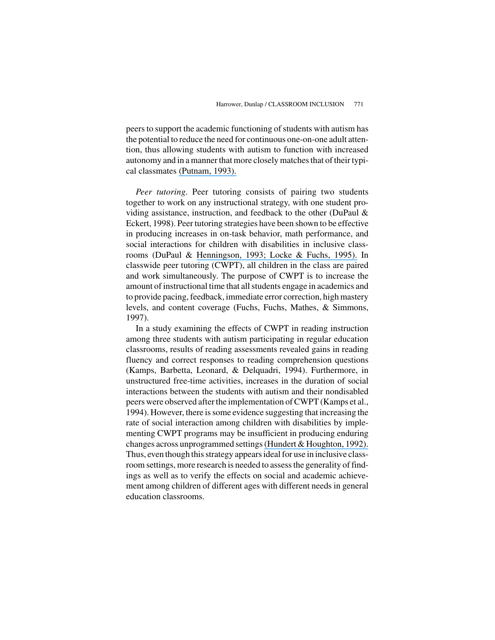peers to support the academic functioning of students with autism has the potential to reduce the need for continuous one-on-one adult attention, thus allowing students with autism to function with increased autonomy and in a manner that more closely matches that of their typical classmates [\(Putnam, 1993\).](https://www.researchgate.net/publication/260123222_Celebrating_Diversity_in_the_Classroom_Cooperative_Learning_Strategies_for_Inclusion?el=1_x_8&enrichId=rgreq-cddcec98-7bf7-458f-8d2f-6484c3769bb3&enrichSource=Y292ZXJQYWdlOzExNzc1NjI5O0FTOjEwMzE4MzkxMzMyNDU1M0AxNDAxNjEyMzcwNDY1)

*Peer tutoring*. Peer tutoring consists of pairing two students together to work on any instructional strategy, with one student providing assistance, instruction, and feedback to the other (DuPaul & Eckert, 1998). Peer tutoring strategies have been shown to be effective in producing increases in on-task behavior, math performance, and social interactions for children with disabilities in inclusive classrooms (DuPaul & [Henningson, 1993; Locke & Fuchs, 1995\).](https://www.researchgate.net/publication/240286712_Effects_of_Peer-Mediated_Reading_Instruction_on_the_On-Task_Behavior_and_Social_Interaction_of_Children_with_Behavior_Disorders?el=1_x_8&enrichId=rgreq-cddcec98-7bf7-458f-8d2f-6484c3769bb3&enrichSource=Y292ZXJQYWdlOzExNzc1NjI5O0FTOjEwMzE4MzkxMzMyNDU1M0AxNDAxNjEyMzcwNDY1) In classwide peer tutoring (CWPT), all children in the class are paired and work simultaneously. The purpose of CWPT is to increase the amount of instructional time that all students engage in academics and to provide pacing, feedback, immediate error correction, high mastery levels, and content coverage (Fuchs, Fuchs, Mathes, & Simmons, 1997).

In a study examining the effects of CWPT in reading instruction among three students with autism participating in regular education classrooms, results of reading assessments revealed gains in reading fluency and correct responses to reading comprehension questions (Kamps, Barbetta, Leonard, & Delquadri, 1994). Furthermore, in unstructured free-time activities, increases in the duration of social interactions between the students with autism and their nondisabled peers were observed after the implementation of CWPT (Kamps et al., 1994). However, there is some evidence suggesting that increasing the rate of social interaction among children with disabilities by implementing CWPT programs may be insufficient in producing enduring changes across unprogrammed settings [\(Hundert & Houghton, 1992\).](https://www.researchgate.net/publication/21623679_Promoting_social_interaction_of_children_with_disabilities_in_integrated_preschools_A_failure_to_generalise?el=1_x_8&enrichId=rgreq-cddcec98-7bf7-458f-8d2f-6484c3769bb3&enrichSource=Y292ZXJQYWdlOzExNzc1NjI5O0FTOjEwMzE4MzkxMzMyNDU1M0AxNDAxNjEyMzcwNDY1) Thus, even though this strategy appears ideal for use in inclusive classroom settings, more research is needed to assess the generality of findings as well as to verify the effects on social and academic achievement among children of different ages with different needs in general education classrooms.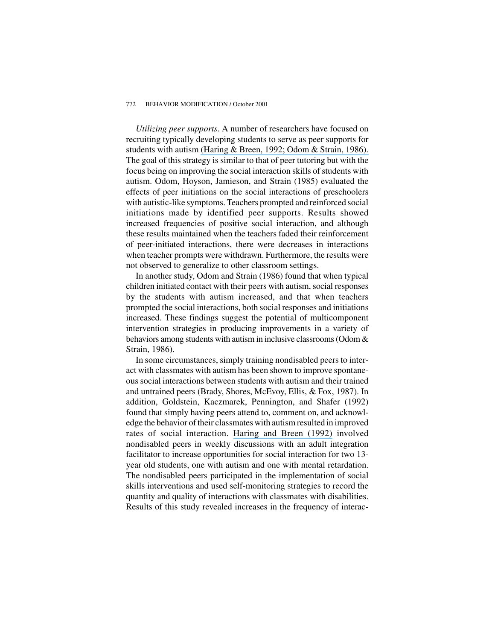*Utilizing peer supports*. A number of researchers have focused on recruiting typically developing students to serve as peer supports for students with autism [\(Haring & Breen, 1992; Odom & Strain, 1986\).](https://www.researchgate.net/publication/21522158_A_peer-mediated_social_network_intervention_to_enhance_the_social_integration_of_person_with_moderate_and_severe_disabilities_Journal_of_Applied_Behavior_Analysis_25_319-333?el=1_x_8&enrichId=rgreq-cddcec98-7bf7-458f-8d2f-6484c3769bb3&enrichSource=Y292ZXJQYWdlOzExNzc1NjI5O0FTOjEwMzE4MzkxMzMyNDU1M0AxNDAxNjEyMzcwNDY1) The goal of this strategy is similar to that of peer tutoring but with the focus being on improving the social interaction skills of students with autism. Odom, Hoyson, Jamieson, and Strain (1985) evaluated the effects of peer initiations on the social interactions of preschoolers with autistic-like symptoms. Teachers prompted and reinforced social initiations made by identified peer supports. Results showed increased frequencies of positive social interaction, and although these results maintained when the teachers faded their reinforcement of peer-initiated interactions, there were decreases in interactions when teacher prompts were withdrawn. Furthermore, the results were not observed to generalize to other classroom settings.

In another study, Odom and Strain (1986) found that when typical children initiated contact with their peers with autism, social responses by the students with autism increased, and that when teachers prompted the social interactions, both social responses and initiations increased. These findings suggest the potential of multicomponent intervention strategies in producing improvements in a variety of behaviors among students with autism in inclusive classrooms (Odom & Strain, 1986).

In some circumstances, simply training nondisabled peers to interact with classmates with autism has been shown to improve spontaneous social interactions between students with autism and their trained and untrained peers (Brady, Shores, McEvoy, Ellis, & Fox, 1987). In addition, Goldstein, Kaczmarek, Pennington, and Shafer (1992) found that simply having peers attend to, comment on, and acknowledge the behavior of their classmates with autism resulted in improved rates of social interaction. [Haring and Breen \(1992\)](https://www.researchgate.net/publication/21522158_A_peer-mediated_social_network_intervention_to_enhance_the_social_integration_of_person_with_moderate_and_severe_disabilities_Journal_of_Applied_Behavior_Analysis_25_319-333?el=1_x_8&enrichId=rgreq-cddcec98-7bf7-458f-8d2f-6484c3769bb3&enrichSource=Y292ZXJQYWdlOzExNzc1NjI5O0FTOjEwMzE4MzkxMzMyNDU1M0AxNDAxNjEyMzcwNDY1) involved nondisabled peers in weekly discussions with an adult integration facilitator to increase opportunities for social interaction for two 13 year old students, one with autism and one with mental retardation. The nondisabled peers participated in the implementation of social skills interventions and used self-monitoring strategies to record the quantity and quality of interactions with classmates with disabilities. Results of this study revealed increases in the frequency of interac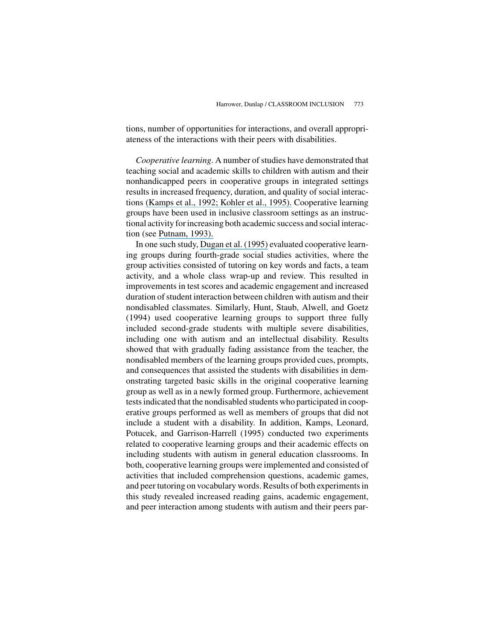tions, number of opportunities for interactions, and overall appropriateness of the interactions with their peers with disabilities.

*Cooperative learning*. A number of studies have demonstrated that teaching social and academic skills to children with autism and their nonhandicapped peers in cooperative groups in integrated settings results in increased frequency, duration, and quality of social interactions [\(Kamps et al., 1992; Kohler et al., 1995\).](https://www.researchgate.net/publication/21522156_Teaching_social_skills_to_students_with_autism_to_increase_peer_interactions_in_an_integrated_first_grade_classroom_Journal_of_Applied_Behavior_Analysis_25_281-288?el=1_x_8&enrichId=rgreq-cddcec98-7bf7-458f-8d2f-6484c3769bb3&enrichSource=Y292ZXJQYWdlOzExNzc1NjI5O0FTOjEwMzE4MzkxMzMyNDU1M0AxNDAxNjEyMzcwNDY1) Cooperative learning groups have been used in inclusive classroom settings as an instructional activity for increasing both academic success and social interaction (see [Putnam, 1993\).](https://www.researchgate.net/publication/260123222_Celebrating_Diversity_in_the_Classroom_Cooperative_Learning_Strategies_for_Inclusion?el=1_x_8&enrichId=rgreq-cddcec98-7bf7-458f-8d2f-6484c3769bb3&enrichSource=Y292ZXJQYWdlOzExNzc1NjI5O0FTOjEwMzE4MzkxMzMyNDU1M0AxNDAxNjEyMzcwNDY1)

In one such study, [Dugan et al. \(1995\)](https://www.researchgate.net/publication/264584626_Dugan_E_Kamps_D_Leonard_B_Effects_of_cooperative_learning_groups_during_social_studies_for_students_with_autism_and_fourthgrade_peers_Journal_of_Applied_Behavior_Analysis_282175?el=1_x_8&enrichId=rgreq-cddcec98-7bf7-458f-8d2f-6484c3769bb3&enrichSource=Y292ZXJQYWdlOzExNzc1NjI5O0FTOjEwMzE4MzkxMzMyNDU1M0AxNDAxNjEyMzcwNDY1) evaluated cooperative learning groups during fourth-grade social studies activities, where the group activities consisted of tutoring on key words and facts, a team activity, and a whole class wrap-up and review. This resulted in improvements in test scores and academic engagement and increased duration of student interaction between children with autism and their nondisabled classmates. Similarly, Hunt, Staub, Alwell, and Goetz (1994) used cooperative learning groups to support three fully included second-grade students with multiple severe disabilities, including one with autism and an intellectual disability. Results showed that with gradually fading assistance from the teacher, the nondisabled members of the learning groups provided cues, prompts, and consequences that assisted the students with disabilities in demonstrating targeted basic skills in the original cooperative learning group as well as in a newly formed group. Furthermore, achievement tests indicated that the nondisabled students who participated in cooperative groups performed as well as members of groups that did not include a student with a disability. In addition, Kamps, Leonard, Potucek, and Garrison-Harrell (1995) conducted two experiments related to cooperative learning groups and their academic effects on including students with autism in general education classrooms. In both, cooperative learning groups were implemented and consisted of activities that included comprehension questions, academic games, and peer tutoring on vocabulary words. Results of both experiments in this study revealed increased reading gains, academic engagement, and peer interaction among students with autism and their peers par-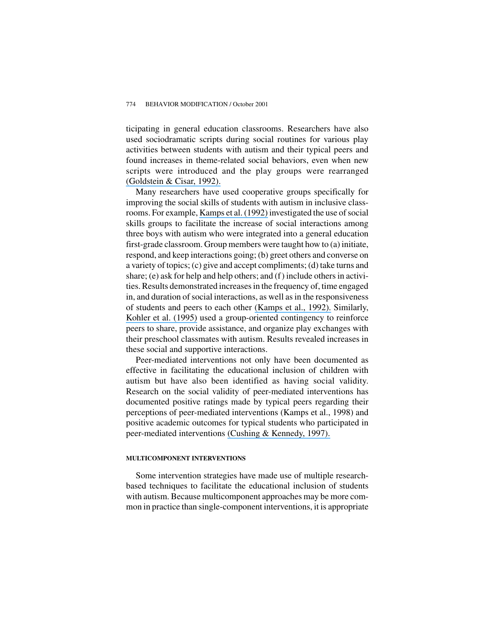ticipating in general education classrooms. Researchers have also used sociodramatic scripts during social routines for various play activities between students with autism and their typical peers and found increases in theme-related social behaviors, even when new scripts were introduced and the play groups were rearranged [\(Goldstein & Cisar, 1992\).](https://www.researchgate.net/publication/21769781_)

Many researchers have used cooperative groups specifically for improving the social skills of students with autism in inclusive classrooms. For example, [Kamps et al. \(1992\)](https://www.researchgate.net/publication/21522156_Teaching_social_skills_to_students_with_autism_to_increase_peer_interactions_in_an_integrated_first_grade_classroom_Journal_of_Applied_Behavior_Analysis_25_281-288?el=1_x_8&enrichId=rgreq-cddcec98-7bf7-458f-8d2f-6484c3769bb3&enrichSource=Y292ZXJQYWdlOzExNzc1NjI5O0FTOjEwMzE4MzkxMzMyNDU1M0AxNDAxNjEyMzcwNDY1) investigated the use of social skills groups to facilitate the increase of social interactions among three boys with autism who were integrated into a general education first-grade classroom. Group members were taught how to (a) initiate, respond, and keep interactions going; (b) greet others and converse on a variety of topics; (c) give and accept compliments; (d) take turns and share; (e) ask for help and help others; and (f) include others in activities. Results demonstrated increases in the frequency of, time engaged in, and duration of social interactions, as well as in the responsiveness of students and peers to each other [\(Kamps et al., 1992\).](https://www.researchgate.net/publication/21522156_Teaching_social_skills_to_students_with_autism_to_increase_peer_interactions_in_an_integrated_first_grade_classroom_Journal_of_Applied_Behavior_Analysis_25_281-288?el=1_x_8&enrichId=rgreq-cddcec98-7bf7-458f-8d2f-6484c3769bb3&enrichSource=Y292ZXJQYWdlOzExNzc1NjI5O0FTOjEwMzE4MzkxMzMyNDU1M0AxNDAxNjEyMzcwNDY1) Similarly, [Kohler et al. \(1995\)](https://www.researchgate.net/publication/15319384_Using_a_Group-Oriented_Contingency_to_Increase_Social_Interactions_between_Children_with_Autism_and_Their_Peers_A_Preliminary_Analysis_of_Corollary_Supportive_Behaviors?el=1_x_8&enrichId=rgreq-cddcec98-7bf7-458f-8d2f-6484c3769bb3&enrichSource=Y292ZXJQYWdlOzExNzc1NjI5O0FTOjEwMzE4MzkxMzMyNDU1M0AxNDAxNjEyMzcwNDY1) used a group-oriented contingency to reinforce peers to share, provide assistance, and organize play exchanges with their preschool classmates with autism. Results revealed increases in these social and supportive interactions.

Peer-mediated interventions not only have been documented as effective in facilitating the educational inclusion of children with autism but have also been identified as having social validity. Research on the social validity of peer-mediated interventions has documented positive ratings made by typical peers regarding their perceptions of peer-mediated interventions (Kamps et al., 1998) and positive academic outcomes for typical students who participated in peer-mediated interventions [\(Cushing & Kennedy, 1997\).](https://www.researchgate.net/publication/14113669_Academic_effects_of_providing_peer_support_in_general_education_classrooms_on_students_without_disabilities?el=1_x_8&enrichId=rgreq-cddcec98-7bf7-458f-8d2f-6484c3769bb3&enrichSource=Y292ZXJQYWdlOzExNzc1NjI5O0FTOjEwMzE4MzkxMzMyNDU1M0AxNDAxNjEyMzcwNDY1)

#### **MULTICOMPONENT INTERVENTIONS**

Some intervention strategies have made use of multiple researchbased techniques to facilitate the educational inclusion of students with autism. Because multicomponent approaches may be more common in practice than single-component interventions, it is appropriate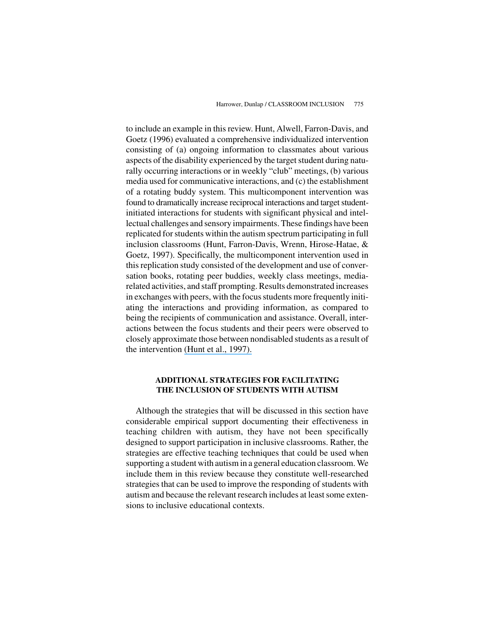to include an example in this review. Hunt, Alwell, Farron-Davis, and Goetz (1996) evaluated a comprehensive individualized intervention consisting of (a) ongoing information to classmates about various aspects of the disability experienced by the target student during naturally occurring interactions or in weekly "club" meetings, (b) various media used for communicative interactions, and (c) the establishment of a rotating buddy system. This multicomponent intervention was found to dramatically increase reciprocal interactions and target studentinitiated interactions for students with significant physical and intellectual challenges and sensory impairments. These findings have been replicated for students within the autism spectrum participating in full inclusion classrooms (Hunt, Farron-Davis, Wrenn, Hirose-Hatae, & Goetz, 1997). Specifically, the multicomponent intervention used in this replication study consisted of the development and use of conversation books, rotating peer buddies, weekly class meetings, mediarelated activities, and staff prompting. Results demonstrated increases in exchanges with peers, with the focus students more frequently initiating the interactions and providing information, as compared to being the recipients of communication and assistance. Overall, interactions between the focus students and their peers were observed to closely approximate those between nondisabled students as a result of the intervention [\(Hunt et al., 1997\).](https://www.researchgate.net/publication/234591507_Promoting_Interactive_Partnerships_in_Inclusive_Educational_Settings?el=1_x_8&enrichId=rgreq-cddcec98-7bf7-458f-8d2f-6484c3769bb3&enrichSource=Y292ZXJQYWdlOzExNzc1NjI5O0FTOjEwMzE4MzkxMzMyNDU1M0AxNDAxNjEyMzcwNDY1)

# **ADDITIONAL STRATEGIES FOR FACILITATING THE INCLUSION OF STUDENTS WITH AUTISM**

Although the strategies that will be discussed in this section have considerable empirical support documenting their effectiveness in teaching children with autism, they have not been specifically designed to support participation in inclusive classrooms. Rather, the strategies are effective teaching techniques that could be used when supporting a student with autism in a general education classroom. We include them in this review because they constitute well-researched strategies that can be used to improve the responding of students with autism and because the relevant research includes at least some extensions to inclusive educational contexts.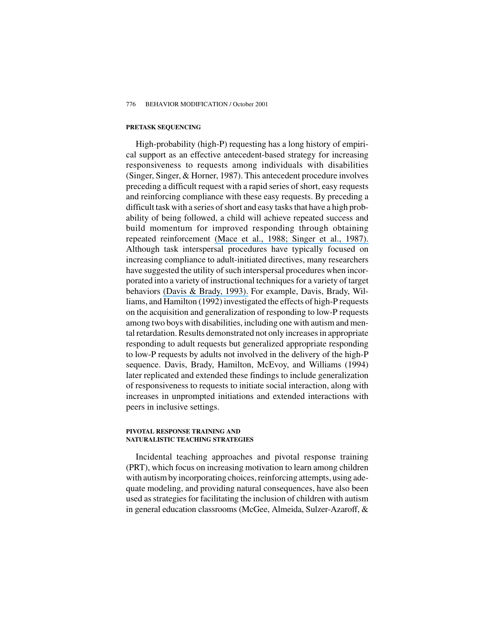#### **PRETASK SEQUENCING**

High-probability (high-P) requesting has a long history of empirical support as an effective antecedent-based strategy for increasing responsiveness to requests among individuals with disabilities (Singer, Singer, & Horner, 1987). This antecedent procedure involves preceding a difficult request with a rapid series of short, easy requests and reinforcing compliance with these easy requests. By preceding a difficult task with a series of short and easy tasks that have a high probability of being followed, a child will achieve repeated success and build momentum for improved responding through obtaining repeated reinforcement [\(Mace et al., 1988; Singer et al., 1987\).](https://www.researchgate.net/publication/20185295_Behavioral_momentum_in_the_treatment_of_noncompliance?el=1_x_8&enrichId=rgreq-cddcec98-7bf7-458f-8d2f-6484c3769bb3&enrichSource=Y292ZXJQYWdlOzExNzc1NjI5O0FTOjEwMzE4MzkxMzMyNDU1M0AxNDAxNjEyMzcwNDY1) Although task interspersal procedures have typically focused on increasing compliance to adult-initiated directives, many researchers have suggested the utility of such interspersal procedures when incorporated into a variety of instructional techniques for a variety of target behaviors [\(Davis & Brady, 1993\).](https://www.researchgate.net/publication/232573540_Expanding_the_Utility_of_Behavioral_Momentum_with_Young_Children_Where_We) For example, Davis, Brady, Williams, and Hamilton (1992) investigated the effects of high-P requests on the acquisition and generalization of responding to low-P requests among two boys with disabilities, including one with autism and mental retardation. Results demonstrated not only increases in appropriate responding to adult requests but generalized appropriate responding to low-P requests by adults not involved in the delivery of the high-P sequence. Davis, Brady, Hamilton, McEvoy, and Williams (1994) later replicated and extended these findings to include generalization of responsiveness to requests to initiate social interaction, along with increases in unprompted initiations and extended interactions with peers in inclusive settings.

#### **PIVOTAL RESPONSE TRAINING AND NATURALISTIC TEACHING STRATEGIES**

Incidental teaching approaches and pivotal response training (PRT), which focus on increasing motivation to learn among children with autism by incorporating choices, reinforcing attempts, using adequate modeling, and providing natural consequences, have also been used as strategies for facilitating the inclusion of children with autism in general education classrooms (McGee, Almeida, Sulzer-Azaroff, &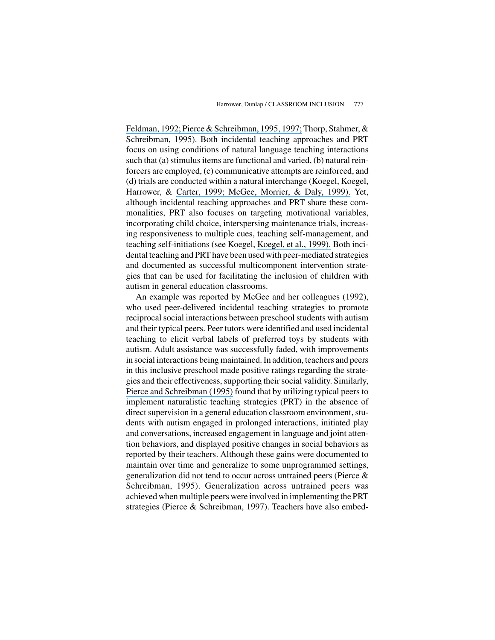[Feldman, 1992; Pierce & Schreibman, 1995, 1997;](https://www.researchgate.net/publication/15607285_Increasing_complex_social_behaviors_in_children_with_autism_Effects_of_peer-implemented_pivotal_response_training_Journal_of_Applied_Behavior_Analysis_28_285-295?el=1_x_8&enrichId=rgreq-cddcec98-7bf7-458f-8d2f-6484c3769bb3&enrichSource=Y292ZXJQYWdlOzExNzc1NjI5O0FTOjEwMzE4MzkxMzMyNDU1M0AxNDAxNjEyMzcwNDY1) Thorp, Stahmer, & Schreibman, 1995). Both incidental teaching approaches and PRT focus on using conditions of natural language teaching interactions such that (a) stimulus items are functional and varied, (b) natural reinforcers are employed, (c) communicative attempts are reinforced, and (d) trials are conducted within a natural interchange (Koegel, Koegel, Harrower, & [Carter, 1999; McGee, Morrier, & Daly, 1999\).](https://www.researchgate.net/publication/250169395_An_Incidental_Teaching_Approach_to_Early_Intervention_for_Toddlers_with_Autism?el=1_x_8&enrichId=rgreq-cddcec98-7bf7-458f-8d2f-6484c3769bb3&enrichSource=Y292ZXJQYWdlOzExNzc1NjI5O0FTOjEwMzE4MzkxMzMyNDU1M0AxNDAxNjEyMzcwNDY1) Yet, although incidental teaching approaches and PRT share these commonalities, PRT also focuses on targeting motivational variables, incorporating child choice, interspersing maintenance trials, increasing responsiveness to multiple cues, teaching self-management, and teaching self-initiations (see Koegel, [Koegel, et al., 1999\).](https://www.researchgate.net/publication/247784586_Support_for_Children_with_Developmental_Disabilities_in_Full_Inclusion_Classrooms_Through_Self-Management?el=1_x_8&enrichId=rgreq-cddcec98-7bf7-458f-8d2f-6484c3769bb3&enrichSource=Y292ZXJQYWdlOzExNzc1NjI5O0FTOjEwMzE4MzkxMzMyNDU1M0AxNDAxNjEyMzcwNDY1) Both incidental teaching and PRT have been used with peer-mediated strategies and documented as successful multicomponent intervention strategies that can be used for facilitating the inclusion of children with autism in general education classrooms.

An example was reported by McGee and her colleagues (1992), who used peer-delivered incidental teaching strategies to promote reciprocal social interactions between preschool students with autism and their typical peers. Peer tutors were identified and used incidental teaching to elicit verbal labels of preferred toys by students with autism. Adult assistance was successfully faded, with improvements in social interactions being maintained. In addition, teachers and peers in this inclusive preschool made positive ratings regarding the strategies and their effectiveness, supporting their social validity. Similarly, [Pierce and Schreibman \(1995\)](https://www.researchgate.net/publication/15607285_Increasing_complex_social_behaviors_in_children_with_autism_Effects_of_peer-implemented_pivotal_response_training_Journal_of_Applied_Behavior_Analysis_28_285-295?el=1_x_8&enrichId=rgreq-cddcec98-7bf7-458f-8d2f-6484c3769bb3&enrichSource=Y292ZXJQYWdlOzExNzc1NjI5O0FTOjEwMzE4MzkxMzMyNDU1M0AxNDAxNjEyMzcwNDY1) found that by utilizing typical peers to implement naturalistic teaching strategies (PRT) in the absence of direct supervision in a general education classroom environment, students with autism engaged in prolonged interactions, initiated play and conversations, increased engagement in language and joint attention behaviors, and displayed positive changes in social behaviors as reported by their teachers. Although these gains were documented to maintain over time and generalize to some unprogrammed settings, generalization did not tend to occur across untrained peers (Pierce & Schreibman, 1995). Generalization across untrained peers was achieved when multiple peers were involved in implementing the PRT strategies (Pierce & Schreibman, 1997). Teachers have also embed-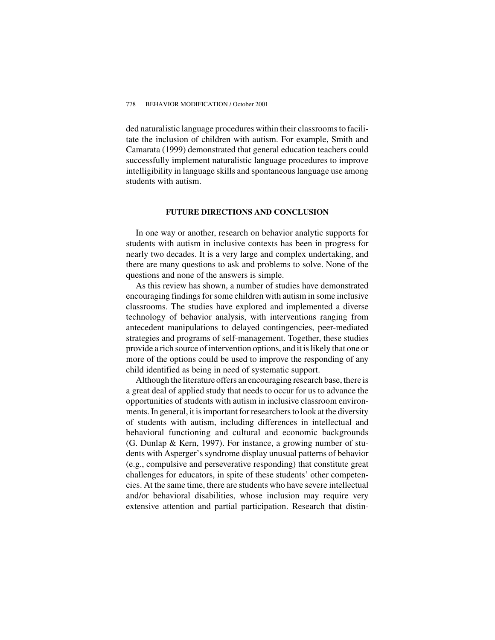ded naturalistic language procedures within their classrooms to facilitate the inclusion of children with autism. For example, Smith and Camarata (1999) demonstrated that general education teachers could successfully implement naturalistic language procedures to improve intelligibility in language skills and spontaneous language use among students with autism.

# **FUTURE DIRECTIONS AND CONCLUSION**

In one way or another, research on behavior analytic supports for students with autism in inclusive contexts has been in progress for nearly two decades. It is a very large and complex undertaking, and there are many questions to ask and problems to solve. None of the questions and none of the answers is simple.

As this review has shown, a number of studies have demonstrated encouraging findings for some children with autism in some inclusive classrooms. The studies have explored and implemented a diverse technology of behavior analysis, with interventions ranging from antecedent manipulations to delayed contingencies, peer-mediated strategies and programs of self-management. Together, these studies provide a rich source of intervention options, and it is likely that one or more of the options could be used to improve the responding of any child identified as being in need of systematic support.

Although the literature offers an encouraging research base, there is a great deal of applied study that needs to occur for us to advance the opportunities of students with autism in inclusive classroom environments. In general, it is important for researchers to look at the diversity of students with autism, including differences in intellectual and behavioral functioning and cultural and economic backgrounds (G. Dunlap & Kern, 1997). For instance, a growing number of students with Asperger's syndrome display unusual patterns of behavior (e.g., compulsive and perseverative responding) that constitute great challenges for educators, in spite of these students' other competencies. At the same time, there are students who have severe intellectual and/or behavioral disabilities, whose inclusion may require very extensive attention and partial participation. Research that distin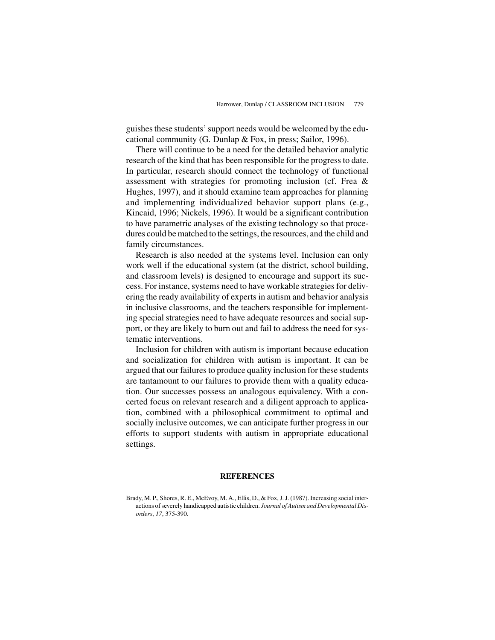guishes these students' support needs would be welcomed by the educational community (G. Dunlap & Fox, in press; Sailor, 1996).

There will continue to be a need for the detailed behavior analytic research of the kind that has been responsible for the progress to date. In particular, research should connect the technology of functional assessment with strategies for promoting inclusion (cf. Frea & Hughes, 1997), and it should examine team approaches for planning and implementing individualized behavior support plans (e.g., Kincaid, 1996; Nickels, 1996). It would be a significant contribution to have parametric analyses of the existing technology so that procedures could be matched to the settings, the resources, and the child and family circumstances.

Research is also needed at the systems level. Inclusion can only work well if the educational system (at the district, school building, and classroom levels) is designed to encourage and support its success. For instance, systems need to have workable strategies for delivering the ready availability of experts in autism and behavior analysis in inclusive classrooms, and the teachers responsible for implementing special strategies need to have adequate resources and social support, or they are likely to burn out and fail to address the need for systematic interventions.

Inclusion for children with autism is important because education and socialization for children with autism is important. It can be argued that our failures to produce quality inclusion for these students are tantamount to our failures to provide them with a quality education. Our successes possess an analogous equivalency. With a concerted focus on relevant research and a diligent approach to application, combined with a philosophical commitment to optimal and socially inclusive outcomes, we can anticipate further progress in our efforts to support students with autism in appropriate educational settings.

#### **REFERENCES**

Brady, M. P., Shores, R. E., McEvoy, M. A., Ellis, D., & Fox, J. J. (1987). Increasing social interactions of severely handicapped autistic children. *Journal of Autism and Developmental Disorders*, *17*, 375-390.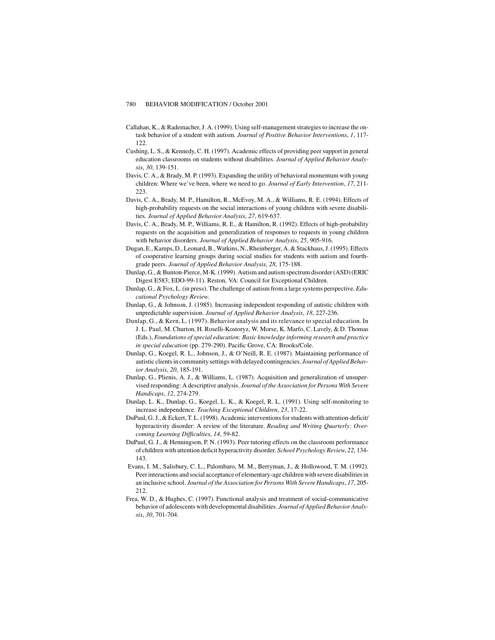- Callahan, K., & Rademacher, J. A. (1999). Using self-management strategies to increase the ontask behavior of a student with autism. *Journal of Positive Behavior Interventions*, *1*, 117- 122.
- Cushing, L. S., & Kennedy, C. H. (1997). Academic effects of providing peer support in general education classrooms on students without disabilities. *Journal of Applied Behavior Analysis*, *30*, 139-151.
- Davis, C. A., & Brady, M. P. (1993). Expanding the utility of behavioral momentum with young children: Where we've been, where we need to go. *Journal of Early Intervention*, *17*, 211- 223.
- Davis, C. A., Brady, M. P., Hamilton, R., McEvoy, M. A., & Williams, R. E. (1994). Effects of high-probability requests on the social interactions of young children with severe disabilities. *Journal of Applied Behavior Analysis*, *27*, 619-637.
- Davis, C. A., Brady, M. P., Williams, R. E., & Hamilton, R. (1992). Effects of high-probability requests on the acquisition and generalization of responses to requests in young children with behavior disorders. *Journal of Applied Behavior Analysis*, *25*, 905-916.
- Dugan, E., Kamps, D., Leonard, B., Watkins, N., Rheinberger, A. & Stackhaus, J. (1995). Effects of cooperative learning groups during social studies for students with autism and fourthgrade peers. *Journal of Applied Behavior Analysis*, *28*, 175-188.
- Dunlap, G., & Bunton-Pierce, M-K. (1999). Autism and autism spectrum disorder (ASD) (ERIC Digest E583; EDO-99-11). Reston, VA: Council for Exceptional Children.
- Dunlap, G., & Fox, L. (in press). The challenge of autism from a large systems perspective. *Educational Psychology Review*.
- Dunlap, G., & Johnson, J. (1985). Increasing independent responding of autistic children with unpredictable supervision. *Journal of Applied Behavior Analysis*, *18*, 227-236.
- Dunlap, G., & Kern, L. (1997). Behavior analysis and its relevance to special education. In J. L. Paul, M. Churton, H. Roselli-Kostoryz, W. Morse, K. Marfo, C. Lavely, & D. Thomas (Eds.), *Foundations of special education: Basic knowledge informing research and practice in special education* (pp. 279-290). Pacific Grove, CA: Brooks/Cole.
- Dunlap, G., Koegel, R. L., Johnson, J., & O'Neill, R. E. (1987). Maintaining performance of autistic clients in community settings with delayed contingencies. *Journal of Applied Behavior Analysis*, *20*, 185-191.
- Dunlap, G., Plienis, A. J., & Williams, L. (1987). Acquisition and generalization of unsupervised responding: A descriptive analysis. *Journal of the Association for Persons With Severe Handicaps*, *12*, 274-279.
- Dunlap, L. K., Dunlap, G., Koegel, L. K., & Koegel, R. L. (1991). Using self-monitoring to increase independence. *Teaching Exceptional Children*, *23*, 17-22.
- DuPaul, G. J., & Eckert, T. L. (1998). Academic interventions for students with attention-deficit/ hyperactivity disorder: A review of the literature. *Reading and Writing Quarterly: Overcoming Learning Difficulties*, *14*, 59-82.
- DuPaul, G. J., & Henningson, P. N. (1993). Peer tutoring effects on the classroom performance of children with attention deficit hyperactivity disorder. *School Psychology Review*, *22*, 134- 143.
- Evans, I. M., Salisbury, C. L., Palombaro, M. M., Berryman, J., & Hollowood, T. M. (1992). Peer interactions and social acceptance of elementary-age children with severe disabilities in an inclusive school. *Journal of the Association for Persons With Severe Handicaps*, *17*, 205- 212.
- Frea, W. D., & Hughes, C. (1997). Functional analysis and treatment of social-communicative behavior of adolescents with developmental disabilities. *Journal of Applied Behavior Analysis*, *30*, 701-704.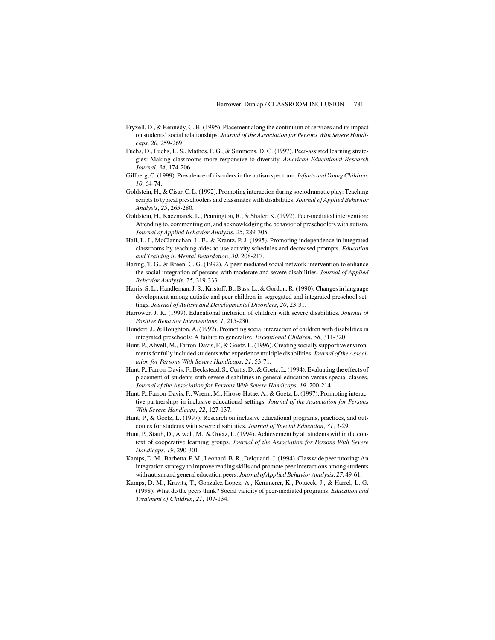- Fryxell, D., & Kennedy, C. H. (1995). Placement along the continuum of services and its impact on students' social relationships. *Journal of the Association for Persons With Severe Handicaps*, *20*, 259-269.
- Fuchs, D., Fuchs, L. S., Mathes, P. G., & Simmons, D. C. (1997). Peer-assisted learning strategies: Making classrooms more responsive to diversity. *American Educational Research Journal*, *34*, 174-206.
- Gillberg, C. (1999). Prevalence of disorders in the autism spectrum. *Infants and Young Children*, *10*, 64-74.
- Goldstein, H., & Cisar, C. L. (1992). Promoting interaction during sociodramatic play: Teaching scripts to typical preschoolers and classmates with disabilities. *Journal of Applied Behavior Analysis*, *25*, 265-280.
- Goldstein, H., Kaczmarek, L., Pennington, R., & Shafer, K. (1992). Peer-mediated intervention: Attending to, commenting on, and acknowledging the behavior of preschoolers with autism. *Journal of Applied Behavior Analysis*, *25*, 289-305.
- Hall, L. J., McClannahan, L. E., & Krantz, P. J. (1995). Promoting independence in integrated classrooms by teaching aides to use activity schedules and decreased prompts. *Education and Training in Mental Retardation*, *30*, 208-217.
- Haring, T. G., & Breen, C. G. (1992). A peer-mediated social network intervention to enhance the social integration of persons with moderate and severe disabilities. *Journal of Applied Behavior Analysis*, *25*, 319-333.
- Harris, S. L., Handleman, J. S., Kristoff, B., Bass, L., & Gordon, R. (1990). Changes in language development among autistic and peer children in segregated and integrated preschool settings. *Journal of Autism and Developmental Disorders*, *20*, 23-31.
- Harrower, J. K. (1999). Educational inclusion of children with severe disabilities. *Journal of Positive Behavior Interventions*, *1*, 215-230.
- Hundert, J., & Houghton, A. (1992). Promoting social interaction of children with disabilities in integrated preschools: A failure to generalize. *Exceptional Children*, *58*, 311-320.
- Hunt, P., Alwell, M., Farron-Davis, F., & Goetz, L. (1996). Creating socially supportive environments for fully included students who experience multiple disabilities. *Journal of the Association for Persons With Severe Handicaps*, *21*, 53-71.
- Hunt, P., Farron-Davis, F., Beckstead, S., Curtis, D., & Goetz, L. (1994). Evaluating the effects of placement of students with severe disabilities in general education versus special classes. *Journal of the Association for Persons With Severe Handicaps*, *19*, 200-214.
- Hunt, P., Farron-Davis, F., Wrenn, M., Hirose-Hatae, A., & Goetz, L. (1997). Promoting interactive partnerships in inclusive educational settings. *Journal of the Association for Persons With Severe Handicaps*, *22*, 127-137.
- Hunt, P., & Goetz, L. (1997). Research on inclusive educational programs, practices, and outcomes for students with severe disabilities. *Journal of Special Education*, *31*, 3-29.
- Hunt, P., Staub, D., Alwell, M., & Goetz, L. (1994). Achievement by all students within the context of cooperative learning groups. *Journal of the Association for Persons With Severe Handicaps*, *19*, 290-301.
- Kamps, D. M., Barbetta, P. M., Leonard, B. R., Delquadri, J. (1994). Classwide peer tutoring: An integration strategy to improve reading skills and promote peer interactions among students with autism and general education peers. *Journal of Applied Behavior Analysis*, *27*, 49-61.
- Kamps, D. M., Kravits, T., Gonzalez Lopez, A., Kemmerer, K., Potucek, J., & Harrel, L. G. (1998). What do the peers think? Social validity of peer-mediated programs. *Education and Treatment of Children*, *21*, 107-134.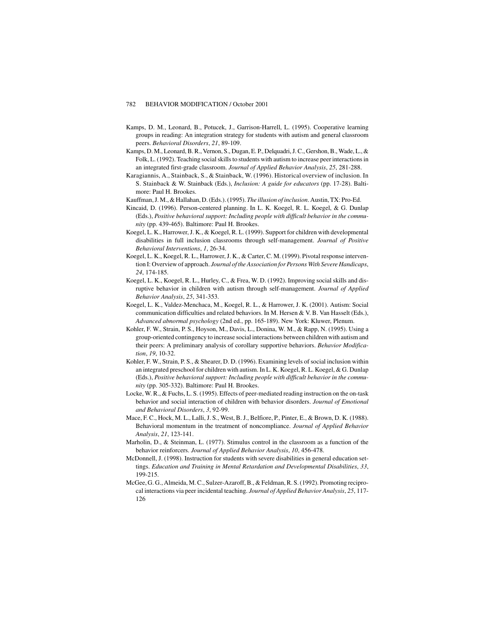- Kamps, D. M., Leonard, B., Potucek, J., Garrison-Harrell, L. (1995). Cooperative learning groups in reading: An integration strategy for students with autism and general classroom peers. *Behavioral Disorders*, *21*, 89-109.
- Kamps, D. M., Leonard, B. R., Vernon, S., Dugan, E. P., Delquadri, J. C., Gershon, B., Wade, L., & Folk, L. (1992). Teaching social skills to students with autism to increase peer interactions in an integrated first-grade classroom. *Journal of Applied Behavior Analysis*, *25*, 281-288.
- Karagiannis, A., Stainback, S., & Stainback, W. (1996). Historical overview of inclusion. In S. Stainback & W. Stainback (Eds.), *Inclusion: A guide for educators* (pp. 17-28). Baltimore: Paul H. Brookes.
- Kauffman, J. M., & Hallahan, D. (Eds.). (1995). *The illusion of inclusion*. Austin, TX: Pro-Ed.
- Kincaid, D. (1996). Person-centered planning. In L. K. Koegel, R. L. Koegel, & G. Dunlap (Eds.), *Positive behavioral support: Including people with difficult behavior in the community* (pp. 439-465). Baltimore: Paul H. Brookes.
- Koegel, L. K., Harrower, J. K., & Koegel, R. L. (1999). Support for children with developmental disabilities in full inclusion classrooms through self-management. *Journal of Positive Behavioral Interventions*, *1*, 26-34.
- Koegel, L. K., Koegel, R. L., Harrower, J. K., & Carter, C. M. (1999). Pivotal response intervention I: Overview of approach. *Journal of the Association for Persons With Severe Handicaps*, *24*, 174-185.
- Koegel, L. K., Koegel, R. L., Hurley, C., & Frea, W. D. (1992). Improving social skills and disruptive behavior in children with autism through self-management. *Journal of Applied Behavior Analysis*, *25*, 341-353.
- Koegel, L. K., Valdez-Menchaca, M., Koegel, R. L., & Harrower, J. K. (2001). Autism: Social communication difficulties and related behaviors. In M. Hersen & V. B. Van Hasselt (Eds.), *Advanced abnormal psychology* (2nd ed., pp. 165-189). New York: Kluwer, Plenum.
- Kohler, F. W., Strain, P. S., Hoyson, M., Davis, L., Donina, W. M., & Rapp, N. (1995). Using a group-oriented contingency to increase social interactions between children with autism and their peers: A preliminary analysis of corollary supportive behaviors. *Behavior Modification*, *19*, 10-32.
- Kohler, F. W., Strain, P. S., & Shearer, D. D. (1996). Examining levels of social inclusion within an integrated preschool for children with autism. In L. K. Koegel, R. L. Koegel, & G. Dunlap (Eds.), *Positive behavioral support: Including people with difficult behavior in the community* (pp. 305-332). Baltimore: Paul H. Brookes.
- Locke, W. R., & Fuchs, L. S. (1995). Effects of peer-mediated reading instruction on the on-task behavior and social interaction of children with behavior disorders. *Journal of Emotional and Behavioral Disorders*, *3*, 92-99.
- Mace, F. C., Hock, M. L., Lalli, J. S., West, B. J., Belfiore, P., Pinter, E., & Brown, D. K. (1988). Behavioral momentum in the treatment of noncompliance. *Journal of Applied Behavior Analysis*, *21*, 123-141.
- Marholin, D., & Steinman, L. (1977). Stimulus control in the classroom as a function of the behavior reinforcers. *Journal of Applied Behavior Analysis*, *10*, 456-478.
- McDonnell, J. (1998). Instruction for students with severe disabilities in general education settings. *Education and Training in Mental Retardation and Developmental Disabilities*, *33*, 199-215.
- McGee, G. G., Almeida, M. C., Sulzer-Azaroff, B., & Feldman, R. S. (1992). Promoting reciprocal interactions via peer incidental teaching. *Journal of Applied Behavior Analysis*, *25*, 117- 126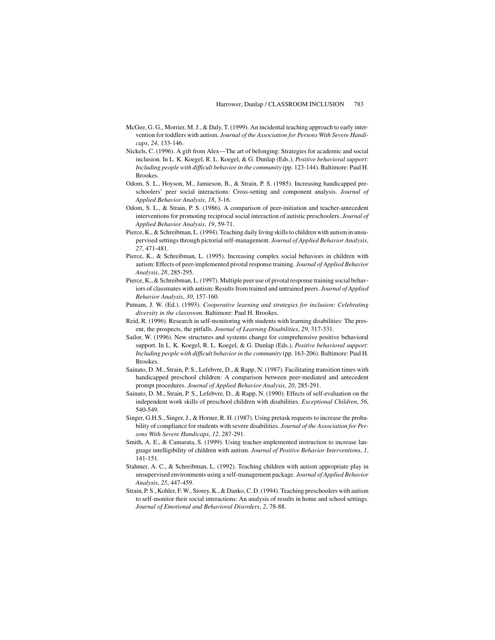- McGee, G. G., Morrier, M. J., & Daly, T. (1999). An incidental teaching approach to early intervention for toddlers with autism. *Journal of the Association for Persons With Severe Handicaps*, *24*, 133-146.
- Nickels, C. (1996). A gift from Alex—The art of belonging: Strategies for academic and social inclusion. In L. K. Koegel, R. L. Koegel, & G. Dunlap (Eds.), *Positive behavioral support: Including people with difficult behavior in the community* (pp. 123-144). Baltimore: Paul H. Brookes.
- Odom, S. L., Hoyson, M., Jamieson, B., & Strain, P. S. (1985). Increasing handicapped preschoolers' peer social interactions: Cross-setting and component analysis. *Journal of Applied Behavior Analysis*, *18*, 3-16.
- Odom, S. L., & Strain, P. S. (1986). A comparison of peer-initiation and teacher-antecedent interventions for promoting reciprocal social interaction of autistic preschoolers. *Journal of Applied Behavior Analysis*, *19*, 59-71.
- Pierce, K., & Schreibman, L. (1994). Teaching daily living skills to children with autism in unsupervised settings through pictorial self-management. *Journal of Applied Behavior Analysis*, *27*, 471-481.
- Pierce, K., & Schreibman, L. (1995). Increasing complex social behaviors in children with autism: Effects of peer-implemented pivotal response training. *Journal of Applied Behavior Analysis*, *28*, 285-295.
- Pierce, K., & Schreibman, L. (1997). Multiple peer use of pivotal response training social behaviors of classmates with autism: Results from trained and untrained peers. *Journal of Applied Behavior Analysis*, *30*, 157-160.
- Putnam, J. W. (Ed.). (1993). *Cooperative learning and strategies for inclusion: Celebrating diversity in the classroom*. Baltimore: Paul H. Brookes.
- Reid, R. (1996). Research in self-monitoring with students with learning disabilities: The present, the prospects, the pitfalls. *Journal of Learning Disabilities*, *29*, 317-331.
- Sailor, W. (1996). New structures and systems change for comprehensive positive behavioral support. In L. K. Koegel, R. L. Koegel, & G. Dunlap (Eds.), *Positive behavioral support: Including people with difficult behavior in the community* (pp. 163-206). Baltimore: Paul H. Brookes.
- Sainato, D. M., Strain, P. S., Lefebvre, D., & Rapp, N. (1987). Facilitating transition times with handicapped preschool children: A comparison between peer-mediated and antecedent prompt procedures. *Journal of Applied Behavior Analysis*, *20*, 285-291.
- Sainato, D. M., Strain, P. S., Lefebvre, D., & Rapp, N. (1990). Effects of self-evaluation on the independent work skills of preschool children with disabilities. *Exceptional Children*, *56*, 540-549.
- Singer, G.H.S., Singer, J., & Horner, R. H. (1987). Using pretask requests to increase the probability of compliance for students with severe disabilities. *Journal of the Association for Persons With Severe Handicaps*, *12*, 287-291.
- Smith, A. E., & Camarata, S. (1999). Using teacher-implemented instruction to increase language intelligibility of children with autism. *Journal of Positive Behavior Interventions*, *1*, 141-151.
- Stahmer, A. C., & Schreibman, L. (1992). Teaching children with autism appropriate play in unsupervised environments using a self-management package. *Journal of Applied Behavior Analysis*, *25*, 447-459.
- Strain, P. S., Kohler, F. W., Storey, K., & Danko, C. D. (1994). Teaching preschoolers with autism to self-monitor their social interactions: An analysis of results in home and school settings. *Journal of Emotional and Behavioral Disorders*, *2*, 78-88.